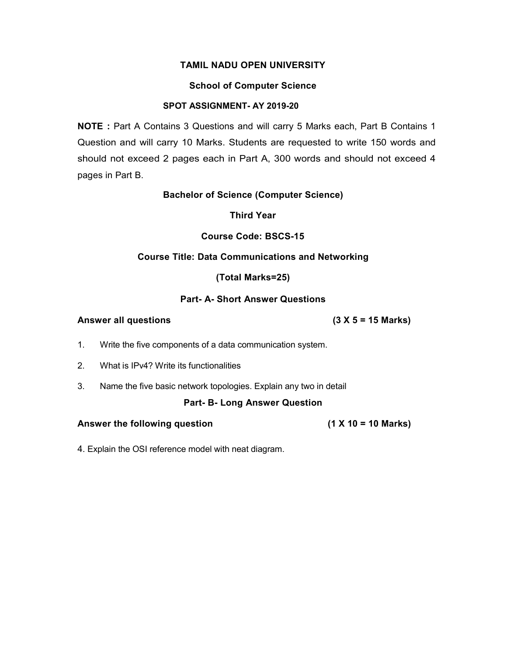# School of Computer Science

# SPOT ASSIGNMENT- AY 2019-20

NOTE : Part A Contains 3 Questions and will carry 5 Marks each, Part B Contains 1 Question and will carry 10 Marks. Students are requested to write 150 words and should not exceed 2 pages each in Part A, 300 words and should not exceed 4 pages in Part B.

# Bachelor of Science (Computer Science)

Third Year

# Course Code: BSCS-15

# Course Title: Data Communications and Networking

(Total Marks=25)

# Part- A- Short Answer Questions

# Answer all questions (3 X 5 = 15 Marks)

- 1. Write the five components of a data communication system.
- 2. What is IPv4? Write its functionalities
- 3. Name the five basic network topologies. Explain any two in detail

### Part- B- Long Answer Question

Answer the following question (1 X 10 = 10 Marks)

4. Explain the OSI reference model with neat diagram.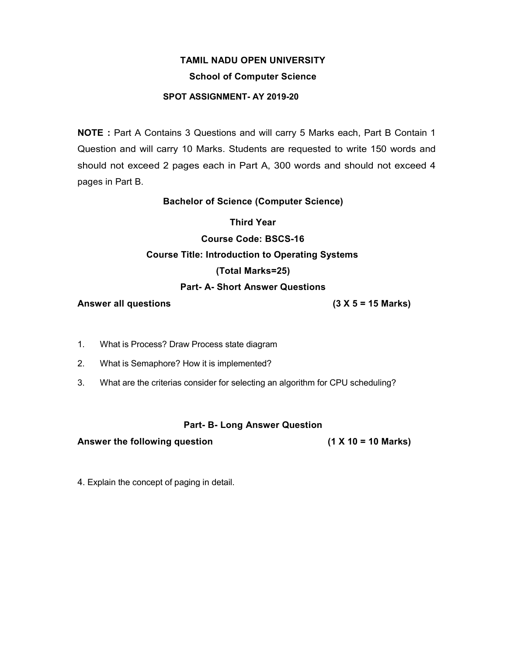# School of Computer Science

# SPOT ASSIGNMENT- AY 2019-20

NOTE : Part A Contains 3 Questions and will carry 5 Marks each, Part B Contain 1 Question and will carry 10 Marks. Students are requested to write 150 words and should not exceed 2 pages each in Part A, 300 words and should not exceed 4 pages in Part B.

# Bachelor of Science (Computer Science)

Third Year

# Course Code: BSCS-16 Course Title: Introduction to Operating Systems (Total Marks=25)

# Part- A- Short Answer Questions

## Answer all questions (3 X 5 = 15 Marks)

- 1. What is Process? Draw Process state diagram
- 2. What is Semaphore? How it is implemented?
- 3. What are the criterias consider for selecting an algorithm for CPU scheduling?

# Part- B- Long Answer Question

Answer the following question (1 X 10 = 10 Marks)

4. Explain the concept of paging in detail.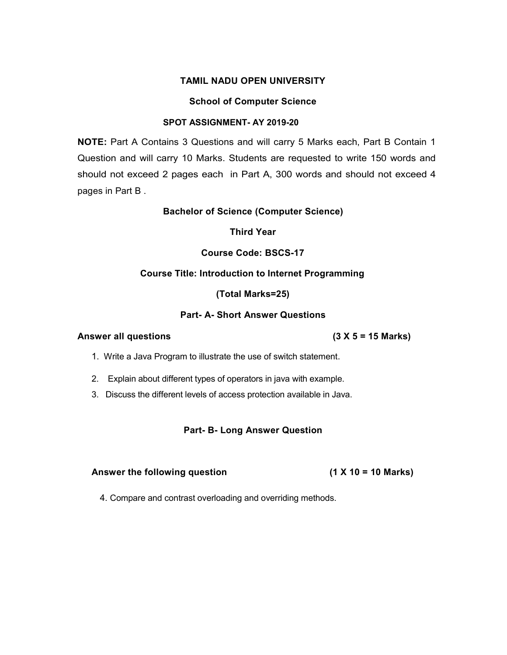#### School of Computer Science

### SPOT ASSIGNMENT- AY 2019-20

NOTE: Part A Contains 3 Questions and will carry 5 Marks each, Part B Contain 1 Question and will carry 10 Marks. Students are requested to write 150 words and should not exceed 2 pages each in Part A, 300 words and should not exceed 4 pages in Part B .

#### Bachelor of Science (Computer Science)

Third Year

### Course Code: BSCS-17

### Course Title: Introduction to Internet Programming

(Total Marks=25)

### Part- A- Short Answer Questions

# Answer all questions (3 X 5 = 15 Marks)

- 1. Write a Java Program to illustrate the use of switch statement.
- 2. Explain about different types of operators in java with example.
- 3. Discuss the different levels of access protection available in Java.

### Part- B- Long Answer Question

#### Answer the following question (1 X 10 = 10 Marks)

4. Compare and contrast overloading and overriding methods.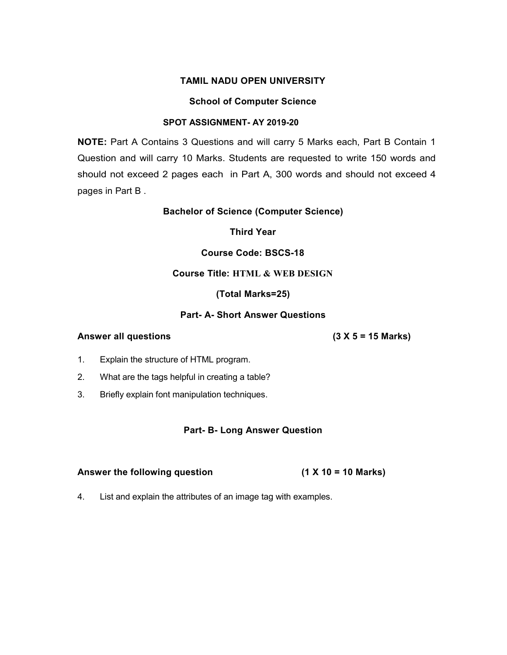#### School of Computer Science

#### SPOT ASSIGNMENT- AY 2019-20

NOTE: Part A Contains 3 Questions and will carry 5 Marks each, Part B Contain 1 Question and will carry 10 Marks. Students are requested to write 150 words and should not exceed 2 pages each in Part A, 300 words and should not exceed 4 pages in Part B .

### Bachelor of Science (Computer Science)

Third Year

### Course Code: BSCS-18

# Course Title: HTML & WEB DESIGN

#### (Total Marks=25)

### Part- A- Short Answer Questions

#### Answer all questions (3 X 5 = 15 Marks)

- 1. Explain the structure of HTML program.
- 2. What are the tags helpful in creating a table?
- 3. Briefly explain font manipulation techniques.

### Part- B- Long Answer Question

| Answer the following question | $(1 X 10 = 10 Marks)$ |
|-------------------------------|-----------------------|
|-------------------------------|-----------------------|

4. List and explain the attributes of an image tag with examples.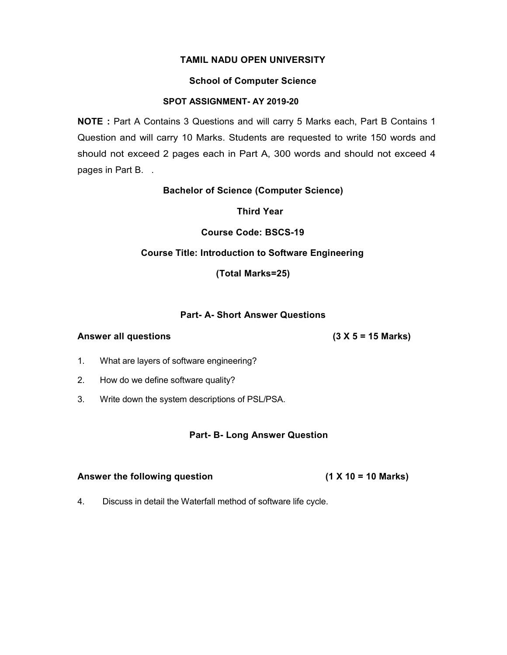### School of Computer Science

# SPOT ASSIGNMENT- AY 2019-20

NOTE : Part A Contains 3 Questions and will carry 5 Marks each, Part B Contains 1 Question and will carry 10 Marks. Students are requested to write 150 words and should not exceed 2 pages each in Part A, 300 words and should not exceed 4 pages in Part B. .

Bachelor of Science (Computer Science)

Third Year

Course Code: BSCS-19

## Course Title: Introduction to Software Engineering

(Total Marks=25)

## Part- A- Short Answer Questions

### Answer all questions (3 X 5 = 15 Marks)

- 1. What are layers of software engineering?
- 2. How do we define software quality?
- 3. Write down the system descriptions of PSL/PSA.

# Part- B- Long Answer Question

### Answer the following question (1 X 10 = 10 Marks)

4. Discuss in detail the Waterfall method of software life cycle.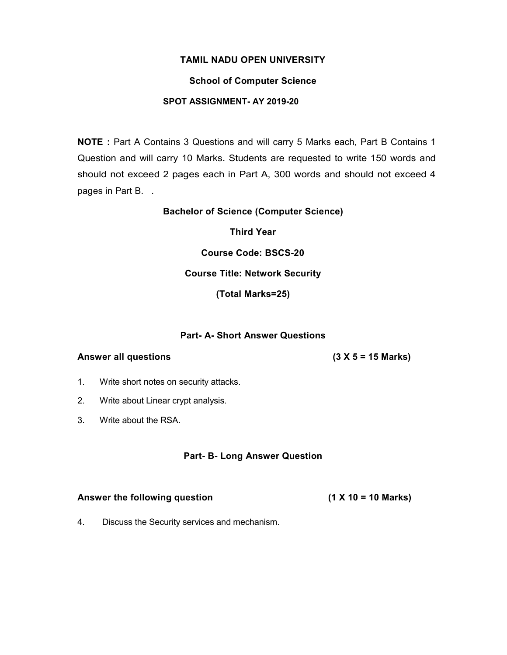### School of Computer Science

# SPOT ASSIGNMENT- AY 2019-20

NOTE : Part A Contains 3 Questions and will carry 5 Marks each, Part B Contains 1 Question and will carry 10 Marks. Students are requested to write 150 words and should not exceed 2 pages each in Part A, 300 words and should not exceed 4 pages in Part B. .

### Bachelor of Science (Computer Science)

Third Year

Course Code: BSCS-20

# Course Title: Network Security

(Total Marks=25)

### Part- A- Short Answer Questions

### Answer all questions

 $(3 X 5 = 15 Marks)$ 

- 1. Write short notes on security attacks.
- 2. Write about Linear crypt analysis.
- 3. Write about the RSA.

### Part- B- Long Answer Question

#### Answer the following question

 $(1 X 10 = 10 Marks)$ 

4. Discuss the Security services and mechanism.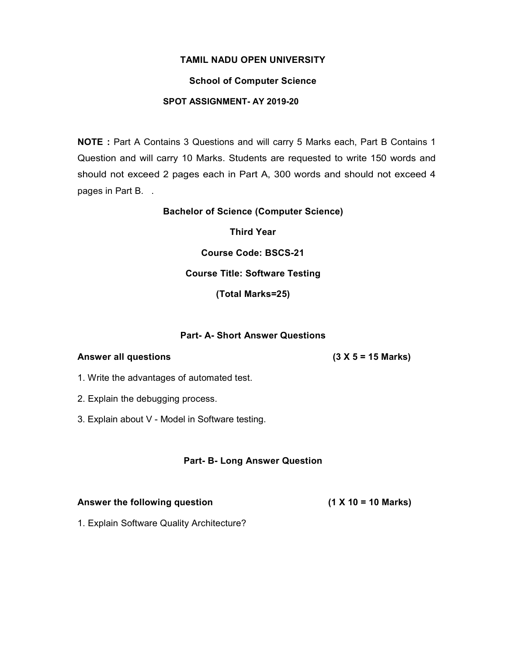### School of Computer Science

# SPOT ASSIGNMENT- AY 2019-20

NOTE : Part A Contains 3 Questions and will carry 5 Marks each, Part B Contains 1 Question and will carry 10 Marks. Students are requested to write 150 words and should not exceed 2 pages each in Part A, 300 words and should not exceed 4 pages in Part B. .

### Bachelor of Science (Computer Science)

Third Year

Course Code: BSCS-21

# Course Title: Software Testing

(Total Marks=25)

### Part- A- Short Answer Questions

### Answer all questions

 $(3 X 5 = 15 Marks)$ 

- 1. Write the advantages of automated test.
- 2. Explain the debugging process.
- 3. Explain about V Model in Software testing.

### Part- B- Long Answer Question

### Answer the following question

 $(1 X 10 = 10 Marks)$ 

1. Explain Software Quality Architecture?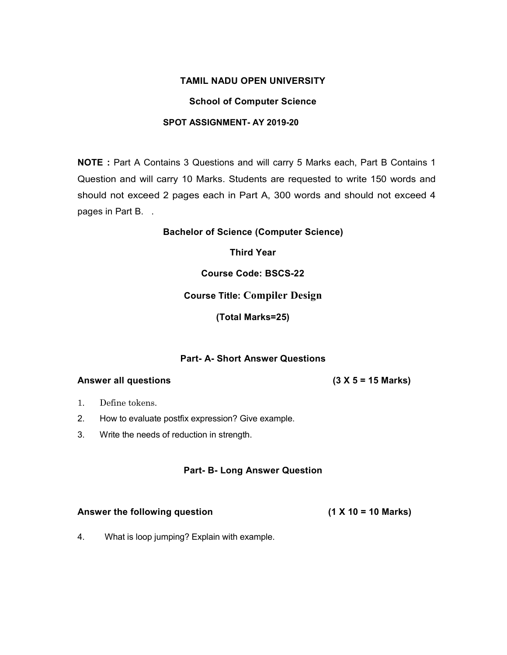### School of Computer Science

### SPOT ASSIGNMENT- AY 2019-20

NOTE : Part A Contains 3 Questions and will carry 5 Marks each, Part B Contains 1 Question and will carry 10 Marks. Students are requested to write 150 words and should not exceed 2 pages each in Part A, 300 words and should not exceed 4 pages in Part B. .

Bachelor of Science (Computer Science)

Third Year

Course Code: BSCS-22

Course Title: Compiler Design

(Total Marks=25)

### Part- A- Short Answer Questions

### Answer all questions

 $(3 X 5 = 15 Marks)$ 

- 1. Define tokens.
- 2. How to evaluate postfix expression? Give example.
- 3. Write the needs of reduction in strength.

### Part- B- Long Answer Question

# Answer the following question

 $(1 X 10 = 10 Marks)$ 

4. What is loop jumping? Explain with example.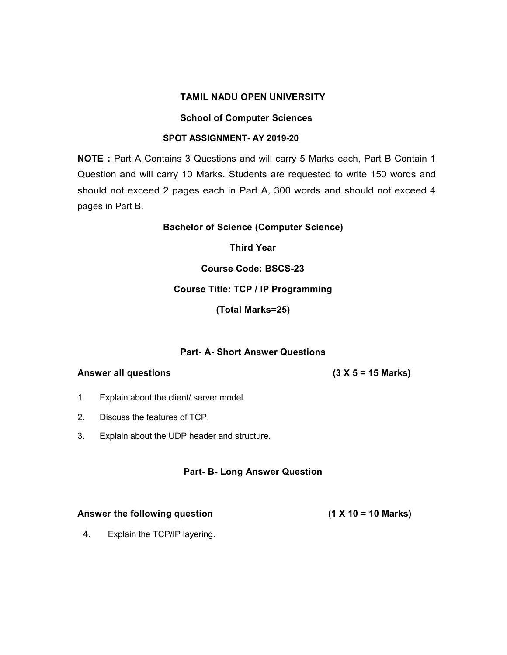### School of Computer Sciences

### SPOT ASSIGNMENT- AY 2019-20

NOTE : Part A Contains 3 Questions and will carry 5 Marks each, Part B Contain 1 Question and will carry 10 Marks. Students are requested to write 150 words and should not exceed 2 pages each in Part A, 300 words and should not exceed 4 pages in Part B.

Bachelor of Science (Computer Science)

Third Year

Course Code: BSCS-23

## Course Title: TCP / IP Programming

(Total Marks=25)

# Part- A- Short Answer Questions

### Answer all questions

 $(3 X 5 = 15 Marks)$ 

- 1. Explain about the client/ server model.
- 2. Discuss the features of TCP.
- 3. Explain about the UDP header and structure.

### Part- B- Long Answer Question

# Answer the following question

 $(1 X 10 = 10 Marks)$ 

4. Explain the TCP/IP layering.